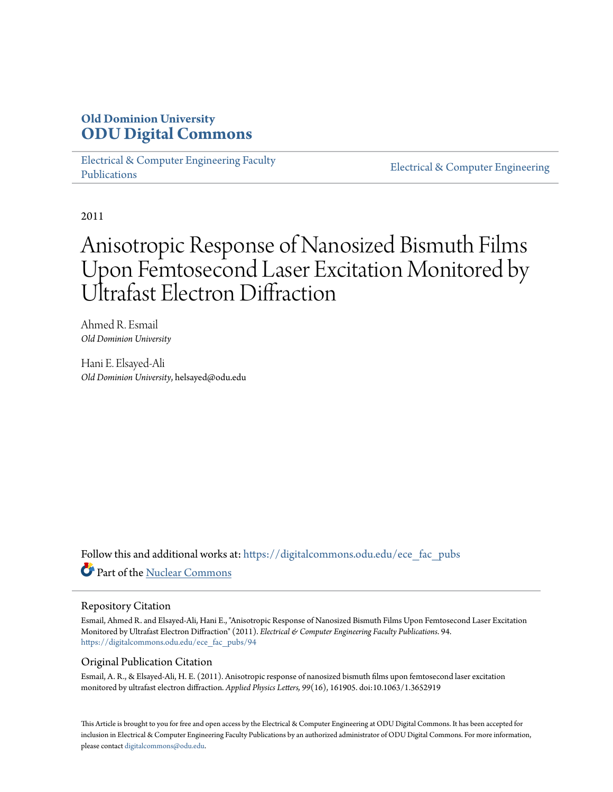## **Old Dominion University [ODU Digital Commons](https://digitalcommons.odu.edu?utm_source=digitalcommons.odu.edu%2Fece_fac_pubs%2F94&utm_medium=PDF&utm_campaign=PDFCoverPages)**

[Electrical & Computer Engineering Faculty](https://digitalcommons.odu.edu/ece_fac_pubs?utm_source=digitalcommons.odu.edu%2Fece_fac_pubs%2F94&utm_medium=PDF&utm_campaign=PDFCoverPages) [Publications](https://digitalcommons.odu.edu/ece_fac_pubs?utm_source=digitalcommons.odu.edu%2Fece_fac_pubs%2F94&utm_medium=PDF&utm_campaign=PDFCoverPages)

[Electrical & Computer Engineering](https://digitalcommons.odu.edu/ece?utm_source=digitalcommons.odu.edu%2Fece_fac_pubs%2F94&utm_medium=PDF&utm_campaign=PDFCoverPages)

2011

# Anisotropic Response of Nanosized Bismuth Films Upon Femtosecond Laser Excitation Monitored by Ultrafast Electron Diffraction

Ahmed R. Esmail *Old Dominion University*

Hani E. Elsayed-Ali *Old Dominion University*, helsayed@odu.edu

Follow this and additional works at: [https://digitalcommons.odu.edu/ece\\_fac\\_pubs](https://digitalcommons.odu.edu/ece_fac_pubs?utm_source=digitalcommons.odu.edu%2Fece_fac_pubs%2F94&utm_medium=PDF&utm_campaign=PDFCoverPages) Part of the [Nuclear Commons](http://network.bepress.com/hgg/discipline/203?utm_source=digitalcommons.odu.edu%2Fece_fac_pubs%2F94&utm_medium=PDF&utm_campaign=PDFCoverPages)

#### Repository Citation

Esmail, Ahmed R. and Elsayed-Ali, Hani E., "Anisotropic Response of Nanosized Bismuth Films Upon Femtosecond Laser Excitation Monitored by Ultrafast Electron Diffraction" (2011). *Electrical & Computer Engineering Faculty Publications*. 94. [https://digitalcommons.odu.edu/ece\\_fac\\_pubs/94](https://digitalcommons.odu.edu/ece_fac_pubs/94?utm_source=digitalcommons.odu.edu%2Fece_fac_pubs%2F94&utm_medium=PDF&utm_campaign=PDFCoverPages)

#### Original Publication Citation

Esmail, A. R., & Elsayed-Ali, H. E. (2011). Anisotropic response of nanosized bismuth films upon femtosecond laser excitation monitored by ultrafast electron diffraction. *Applied Physics Letters, 99*(16), 161905. doi:10.1063/1.3652919

This Article is brought to you for free and open access by the Electrical & Computer Engineering at ODU Digital Commons. It has been accepted for inclusion in Electrical & Computer Engineering Faculty Publications by an authorized administrator of ODU Digital Commons. For more information, please contact [digitalcommons@odu.edu](mailto:digitalcommons@odu.edu).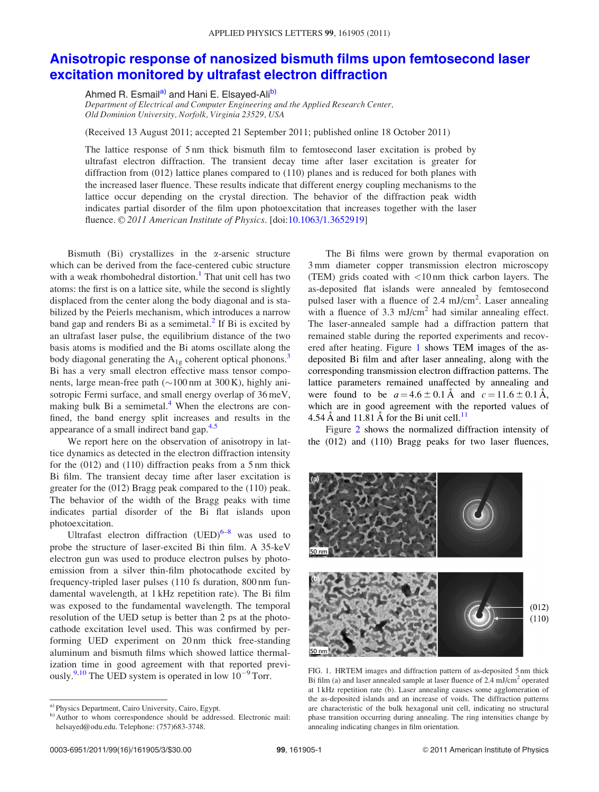### [Anisotropic response of nanosized bismuth films upon femtosecond laser](http://dx.doi.org/10.1063/1.3652919) [excitation monitored by ultrafast electron diffraction](http://dx.doi.org/10.1063/1.3652919)

Ahmed R. Esmail<sup>a)</sup> and Hani E. Elsayed-Ali<sup>b)</sup>

Department of Electrical and Computer Engineering and the Applied Research Center, Old Dominion University, Norfolk, Virginia 23529, USA

(Received 13 August 2011; accepted 21 September 2011; published online 18 October 2011)

The lattice response of 5 nm thick bismuth film to femtosecond laser excitation is probed by ultrafast electron diffraction. The transient decay time after laser excitation is greater for diffraction from (012) lattice planes compared to (110) planes and is reduced for both planes with the increased laser fluence. These results indicate that different energy coupling mechanisms to the lattice occur depending on the crystal direction. The behavior of the diffraction peak width indicates partial disorder of the film upon photoexcitation that increases together with the laser fluence. © 2011 American Institute of Physics. [doi:[10.1063/1.3652919](http://dx.doi.org/10.1063/1.3652919)]

Bismuth (Bi) crystallizes in the  $\alpha$ -arsenic structure which can be derived from the face-centered cubic structure with a weak rhombohedral distortion.<sup>[1](#page-3-0)</sup> That unit cell has two atoms: the first is on a lattice site, while the second is slightly displaced from the center along the body diagonal and is stabilized by the Peierls mechanism, which introduces a narrow band gap and renders Bi as a semimetal. $<sup>2</sup>$  $<sup>2</sup>$  $<sup>2</sup>$  If Bi is excited by</sup> an ultrafast laser pulse, the equilibrium distance of the two basis atoms is modified and the Bi atoms oscillate along the body diagonal generating the  $A_{1g}$  coherent optical phonons.<sup>3</sup> Bi has a very small electron effective mass tensor components, large mean-free path  $(\sim]100 \text{ nm}$  at 300 K), highly anisotropic Fermi surface, and small energy overlap of 36 meV, making bulk Bi a semimetal. $4$  When the electrons are confined, the band energy split increases and results in the appearance of a small indirect band gap.<sup>[4,5](#page-3-0)</sup>

We report here on the observation of anisotropy in lattice dynamics as detected in the electron diffraction intensity for the (012) and (110) diffraction peaks from a 5 nm thick Bi film. The transient decay time after laser excitation is greater for the (012) Bragg peak compared to the (110) peak. The behavior of the width of the Bragg peaks with time indicates partial disorder of the Bi flat islands upon photoexcitation.

Ultrafast electron diffraction  $(VED)^{6-8}$  was used to probe the structure of laser-excited Bi thin film. A 35-keV electron gun was used to produce electron pulses by photoemission from a silver thin-film photocathode excited by frequency-tripled laser pulses (110 fs duration, 800 nm fundamental wavelength, at 1 kHz repetition rate). The Bi film was exposed to the fundamental wavelength. The temporal resolution of the UED setup is better than 2 ps at the photocathode excitation level used. This was confirmed by performing UED experiment on 20 nm thick free-standing aluminum and bismuth films which showed lattice thermalization time in good agreement with that reported previously.<sup>9,10</sup> The UED system is operated in low  $10^{-9}$  Torr.

The Bi films were grown by thermal evaporation on 3 mm diameter copper transmission electron microscopy (TEM) grids coated with  $\langle 10 \text{ nm} \rangle$  thick carbon layers. The as-deposited flat islands were annealed by femtosecond pulsed laser with a fluence of 2.4  $mJ/cm<sup>2</sup>$ . Laser annealing with a fluence of 3.3 mJ/cm<sup>2</sup> had similar annealing effect. The laser-annealed sample had a diffraction pattern that remained stable during the reported experiments and recovered after heating. Figure 1 shows TEM images of the asdeposited Bi film and after laser annealing, along with the corresponding transmission electron diffraction patterns. The lattice parameters remained unaffected by annealing and were found to be  $a = 4.6 \pm 0.1 \text{ Å}$  and  $c = 11.6 \pm 0.1 \text{ Å}$ , which are in good agreement with the reported values of 4.54  $\AA$  and [11](#page-3-0).81  $\AA$  for the Bi unit cell.<sup>11</sup>

Figure [2](#page-2-0) shows the normalized diffraction intensity of the (012) and (110) Bragg peaks for two laser fluences,



FIG. 1. HRTEM images and diffraction pattern of as-deposited 5 nm thick Bi film (a) and laser annealed sample at laser fluence of 2.4 mJ/cm2 operated at 1 kHz repetition rate (b). Laser annealing causes some agglomeration of the as-deposited islands and an increase of voids. The diffraction patterns are characteristic of the bulk hexagonal unit cell, indicating no structural phase transition occurring during annealing. The ring intensities change by annealing indicating changes in film orientation.

a) Physics Department, Cairo University, Cairo, Egypt.

b) Author to whom correspondence should be addressed. Electronic mail: helsayed@odu.edu. Telephone: (757)683-3748.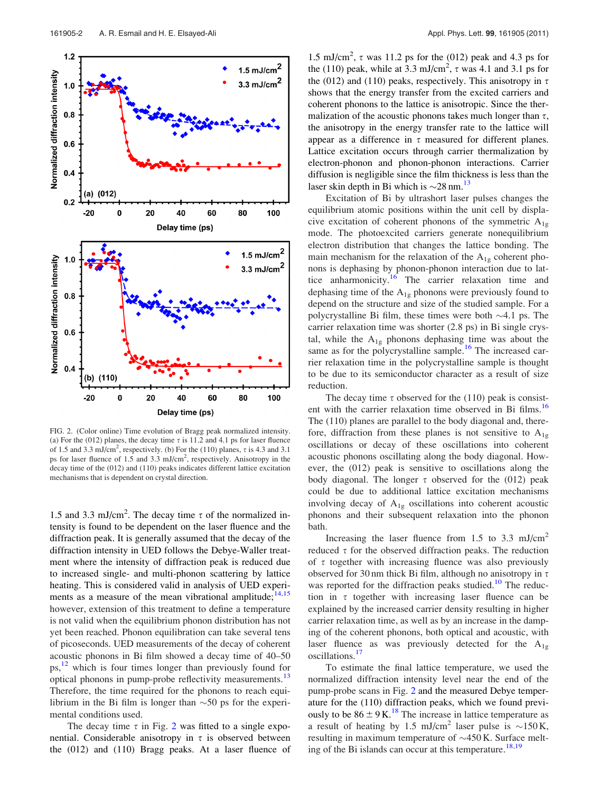<span id="page-2-0"></span>

FIG. 2. (Color online) Time evolution of Bragg peak normalized intensity. (a) For the (012) planes, the decay time  $\tau$  is 11.2 and 4.1 ps for laser fluence of 1.5 and 3.3 mJ/cm<sup>2</sup>, respectively. (b) For the (110) planes,  $\tau$  is 4.3 and 3.1 ps for laser fluence of 1.5 and 3.3 mJ/cm<sup>2</sup>, respectively. Anisotropy in the decay time of the (012) and (110) peaks indicates different lattice excitation mechanisms that is dependent on crystal direction.

1.5 and 3.3 mJ/cm<sup>2</sup>. The decay time  $\tau$  of the normalized intensity is found to be dependent on the laser fluence and the diffraction peak. It is generally assumed that the decay of the diffraction intensity in UED follows the Debye-Waller treatment where the intensity of diffraction peak is reduced due to increased single- and multi-phonon scattering by lattice heating. This is considered valid in analysis of UED experiments as a measure of the mean vibrational amplitude;  $14,15$ however, extension of this treatment to define a temperature is not valid when the equilibrium phonon distribution has not yet been reached. Phonon equilibration can take several tens of picoseconds. UED measurements of the decay of coherent acoustic phonons in Bi film showed a decay time of 40–50 ps,<sup>12</sup> which is four times longer than previously found for optical phonons in pump-probe reflectivity measurements.<sup>[13](#page-3-0)</sup> Therefore, the time required for the phonons to reach equilibrium in the Bi film is longer than  $\sim$  50 ps for the experimental conditions used.

The decay time  $\tau$  in Fig. 2 was fitted to a single exponential. Considerable anisotropy in  $\tau$  is observed between the (012) and (110) Bragg peaks. At a laser fluence of

1.5 mJ/cm<sup>2</sup>,  $\tau$  was 11.2 ps for the (012) peak and 4.3 ps for the (110) peak, while at  $3.3 \text{ mJ/cm}^2$ ,  $\tau$  was 4.1 and  $3.1 \text{ ps}$  for the (012) and (110) peaks, respectively. This anisotropy in  $\tau$ shows that the energy transfer from the excited carriers and coherent phonons to the lattice is anisotropic. Since the thermalization of the acoustic phonons takes much longer than  $\tau$ , the anisotropy in the energy transfer rate to the lattice will appear as a difference in  $\tau$  measured for different planes. Lattice excitation occurs through carrier thermalization by electron-phonon and phonon-phonon interactions. Carrier diffusion is negligible since the film thickness is less than the laser skin depth in Bi which is  $\sim$  28 nm.<sup>[13](#page-3-0)</sup>

Excitation of Bi by ultrashort laser pulses changes the equilibrium atomic positions within the unit cell by displacive excitation of coherent phonons of the symmetric  $A_{1g}$ mode. The photoexcited carriers generate nonequilibrium electron distribution that changes the lattice bonding. The main mechanism for the relaxation of the  $A_{1g}$  coherent phonons is dephasing by phonon-phonon interaction due to lat-tice anharmonicity.<sup>[16](#page-3-0)</sup> The carrier relaxation time and dephasing time of the  $A_{1g}$  phonons were previously found to depend on the structure and size of the studied sample. For a polycrystalline Bi film, these times were both  $\sim$ 4.1 ps. The carrier relaxation time was shorter (2.8 ps) in Bi single crystal, while the  $A_{1g}$  phonons dephasing time was about the same as for the polycrystalline sample.<sup>[16](#page-3-0)</sup> The increased carrier relaxation time in the polycrystalline sample is thought to be due to its semiconductor character as a result of size reduction.

The decay time  $\tau$  observed for the (110) peak is consist-ent with the carrier relaxation time observed in Bi films.<sup>[16](#page-3-0)</sup> The (110) planes are parallel to the body diagonal and, therefore, diffraction from these planes is not sensitive to  $A_{1g}$ oscillations or decay of these oscillations into coherent acoustic phonons oscillating along the body diagonal. However, the (012) peak is sensitive to oscillations along the body diagonal. The longer  $\tau$  observed for the (012) peak could be due to additional lattice excitation mechanisms involving decay of  $A_{1g}$  oscillations into coherent acoustic phonons and their subsequent relaxation into the phonon bath.

Increasing the laser fluence from 1.5 to 3.3 mJ/cm<sup>2</sup> reduced  $\tau$  for the observed diffraction peaks. The reduction of  $\tau$  together with increasing fluence was also previously observed for 30 nm thick Bi film, although no anisotropy in  $\tau$ was reported for the diffraction peaks studied.<sup>[10](#page-3-0)</sup> The reduction in  $\tau$  together with increasing laser fluence can be explained by the increased carrier density resulting in higher carrier relaxation time, as well as by an increase in the damping of the coherent phonons, both optical and acoustic, with laser fluence as was previously detected for the  $A_{1g}$ oscillations.<sup>17</sup>

To estimate the final lattice temperature, we used the normalized diffraction intensity level near the end of the pump-probe scans in Fig. 2 and the measured Debye temperature for the (110) diffraction peaks, which we found previously to be  $86 \pm 9$  K.<sup>[18](#page-3-0)</sup> The increase in lattice temperature as a result of heating by 1.5 mJ/cm<sup>2</sup> laser pulse is  $\sim$ 150K, resulting in maximum temperature of  $\sim$ 450 K. Surface melt-ing of the Bi islands can occur at this temperature.<sup>[18,19](#page-3-0)</sup>